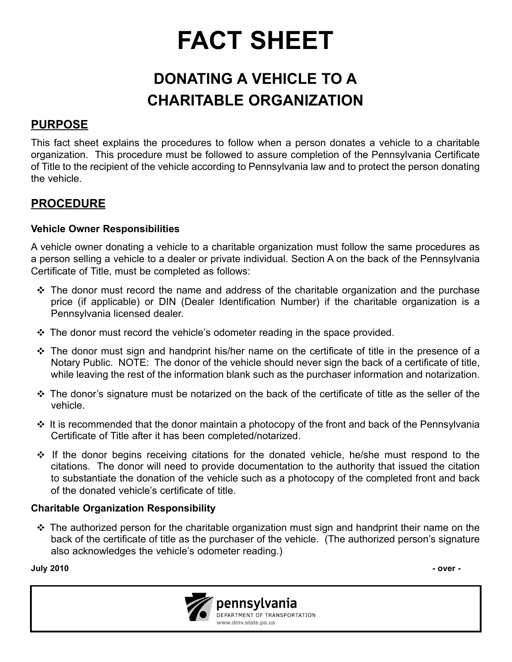# **FACT SHEET**

# **DONATING A VEHICLE TO A CHARITABLE ORGANIZATION**

## **PURPOSE**

This fact sheet explains the procedures to follow when a person donates a vehicle to a charitable organization. This procedure must be followed to assure completion of the Pennsylvania Certificate of Title to the recipient of the vehicle according to Pennsylvania law and to protect the person donating the vehicle.

### **PROCEDURE**

#### **Vehicle Owner Responsibilities**

A vehicle owner donating a vehicle to a charitable organization must follow the same procedures as a person selling a vehicle to a dealer or private individual. Section A on the back of the Pennsylvania Certificate of Title, must be completed as follows:

- $\cdot$  The donor must record the name and address of the charitable organization and the purchase price (if applicable) or DIN (Dealer Identification Number) if the charitable organization is a Pennsylvania licensed dealer.
- $\cdot$  The donor must record the vehicle's odometer reading in the space provided.
- $\cdot \cdot$  The donor must sign and handprint his/her name on the certificate of title in the presence of a Notary Public. NOTE: The donor of the vehicle should never sign the back of a certificate of title, while leaving the rest of the information blank such as the purchaser information and notarization.
- $\cdot$  The donor's signature must be notarized on the back of the certificate of title as the seller of the vehicle.
- $\cdot \cdot$  It is recommended that the donor maintain a photocopy of the front and back of the Pennsylvania Certificate of Title after it has been completed/notarized.
- $\cdot \cdot$  If the donor begins receiving citations for the donated vehicle, he/she must respond to the citations. The donor will need to provide documentation to the authority that issued the citation to substantiate the donation of the vehicle such as a photocopy of the completed front and back of the donated vehicle's certificate of title.

#### **Charitable Organization Responsibility**

 $\cdot \cdot$  The authorized person for the charitable organization must sign and handprint their name on the back of the certificate of title as the purchaser of the vehicle. (The authorized person's signature also acknowledges the vehicle's odometer reading.)

**July 2010 - over -** 



pennsylvania DEPARTMENT OF TRANSPORTATION